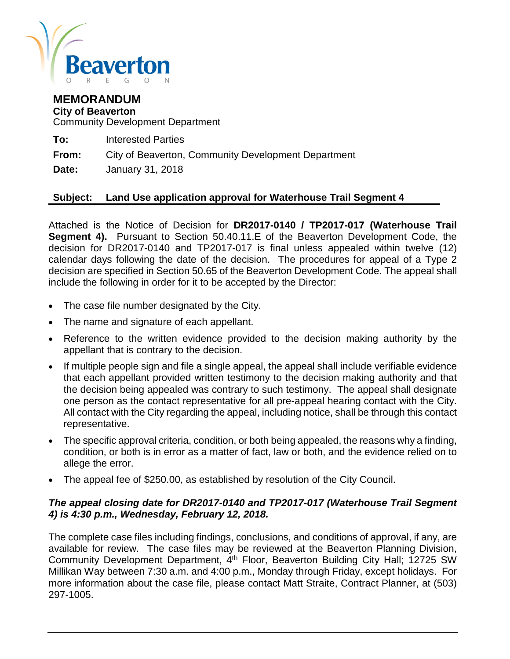

# **MEMORANDUM**

**City of Beaverton** Community Development Department

- **To:** Interested Parties
- **From:** City of Beaverton, Community Development Department

**Date:** January 31, 2018

#### **Subject: Land Use application approval for Waterhouse Trail Segment 4**

Attached is the Notice of Decision for **DR2017-0140 / TP2017-017 (Waterhouse Trail Segment 4).** Pursuant to Section 50.40.11.E of the Beaverton Development Code, the decision for DR2017-0140 and TP2017-017 is final unless appealed within twelve (12) calendar days following the date of the decision. The procedures for appeal of a Type 2 decision are specified in Section 50.65 of the Beaverton Development Code. The appeal shall include the following in order for it to be accepted by the Director:

- The case file number designated by the City.
- The name and signature of each appellant.
- Reference to the written evidence provided to the decision making authority by the appellant that is contrary to the decision.
- If multiple people sign and file a single appeal, the appeal shall include verifiable evidence that each appellant provided written testimony to the decision making authority and that the decision being appealed was contrary to such testimony. The appeal shall designate one person as the contact representative for all pre-appeal hearing contact with the City. All contact with the City regarding the appeal, including notice, shall be through this contact representative.
- The specific approval criteria, condition, or both being appealed, the reasons why a finding, condition, or both is in error as a matter of fact, law or both, and the evidence relied on to allege the error.
- The appeal fee of \$250.00, as established by resolution of the City Council.

#### *The appeal closing date for DR2017-0140 and TP2017-017 (Waterhouse Trail Segment 4) is 4:30 p.m., Wednesday, February 12, 2018.*

The complete case files including findings, conclusions, and conditions of approval, if any, are available for review. The case files may be reviewed at the Beaverton Planning Division, Community Development Department, 4th Floor, Beaverton Building City Hall; 12725 SW Millikan Way between 7:30 a.m. and 4:00 p.m., Monday through Friday, except holidays. For more information about the case file, please contact Matt Straite, Contract Planner, at (503) 297-1005.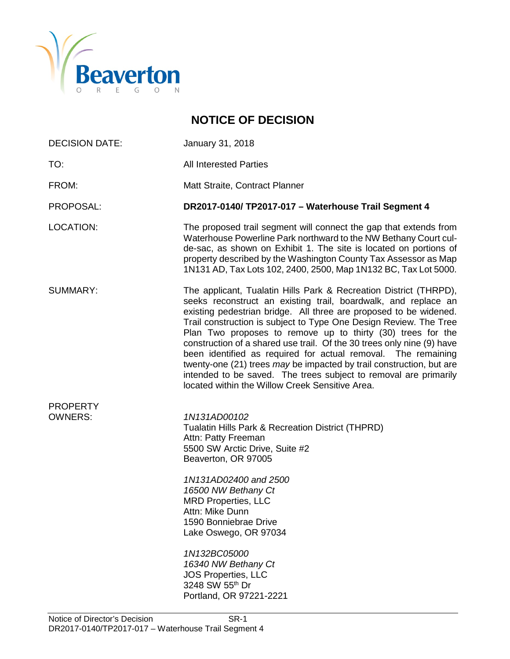

# **NOTICE OF DECISION**

| <b>DECISION DATE:</b>             | January 31, 2018                                                                                                                                                                                                                                                                                                                                                                                                                                                                                                                                                                                                                                                                       |
|-----------------------------------|----------------------------------------------------------------------------------------------------------------------------------------------------------------------------------------------------------------------------------------------------------------------------------------------------------------------------------------------------------------------------------------------------------------------------------------------------------------------------------------------------------------------------------------------------------------------------------------------------------------------------------------------------------------------------------------|
| TO:                               | <b>All Interested Parties</b>                                                                                                                                                                                                                                                                                                                                                                                                                                                                                                                                                                                                                                                          |
| FROM:                             | Matt Straite, Contract Planner                                                                                                                                                                                                                                                                                                                                                                                                                                                                                                                                                                                                                                                         |
| PROPOSAL:                         | DR2017-0140/ TP2017-017 - Waterhouse Trail Segment 4                                                                                                                                                                                                                                                                                                                                                                                                                                                                                                                                                                                                                                   |
| LOCATION:                         | The proposed trail segment will connect the gap that extends from<br>Waterhouse Powerline Park northward to the NW Bethany Court cul-<br>de-sac, as shown on Exhibit 1. The site is located on portions of<br>property described by the Washington County Tax Assessor as Map<br>1N131 AD, Tax Lots 102, 2400, 2500, Map 1N132 BC, Tax Lot 5000.                                                                                                                                                                                                                                                                                                                                       |
| <b>SUMMARY:</b>                   | The applicant, Tualatin Hills Park & Recreation District (THRPD),<br>seeks reconstruct an existing trail, boardwalk, and replace an<br>existing pedestrian bridge. All three are proposed to be widened.<br>Trail construction is subject to Type One Design Review. The Tree<br>Plan Two proposes to remove up to thirty (30) trees for the<br>construction of a shared use trail. Of the 30 trees only nine (9) have<br>been identified as required for actual removal. The remaining<br>twenty-one (21) trees may be impacted by trail construction, but are<br>intended to be saved. The trees subject to removal are primarily<br>located within the Willow Creek Sensitive Area. |
| <b>PROPERTY</b><br><b>OWNERS:</b> | 1N131AD00102<br>Tualatin Hills Park & Recreation District (THPRD)<br>Attn: Patty Freeman<br>5500 SW Arctic Drive, Suite #2<br>Beaverton, OR 97005<br>1N131AD02400 and 2500<br>16500 NW Bethany Ct<br><b>MRD Properties, LLC</b><br>Attn: Mike Dunn<br>1590 Bonniebrae Drive<br>Lake Oswego, OR 97034                                                                                                                                                                                                                                                                                                                                                                                   |
|                                   | 1N132BC05000<br>16340 NW Bethany Ct<br><b>JOS Properties, LLC</b><br>3248 SW 55th Dr<br>Portland, OR 97221-2221                                                                                                                                                                                                                                                                                                                                                                                                                                                                                                                                                                        |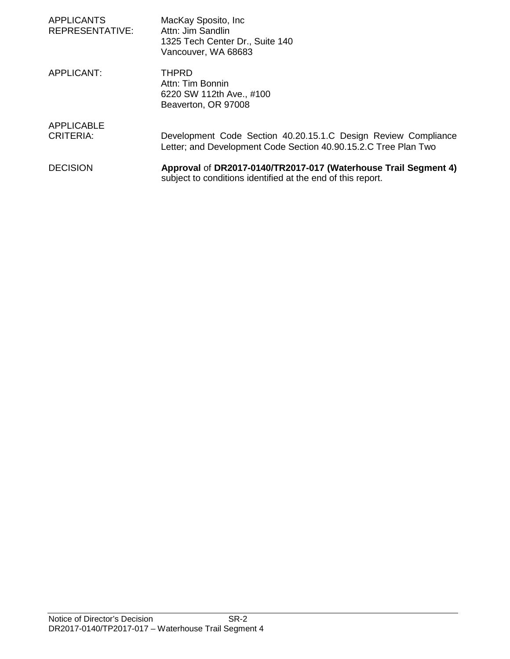| <b>APPLICANTS</b><br><b>REPRESENTATIVE:</b> | MacKay Sposito, Inc.<br>Attn: Jim Sandlin<br>1325 Tech Center Dr., Suite 140<br>Vancouver, WA 68683                               |
|---------------------------------------------|-----------------------------------------------------------------------------------------------------------------------------------|
| APPLICANT:                                  | <b>THPRD</b><br>Attn: Tim Bonnin<br>6220 SW 112th Ave., #100<br>Beaverton, OR 97008                                               |
| <b>APPLICABLE</b><br><b>CRITERIA:</b>       | Development Code Section 40.20.15.1.C Design Review Compliance<br>Letter; and Development Code Section 40.90.15.2.C Tree Plan Two |
| <b>DECISION</b>                             | Approval of DR2017-0140/TR2017-017 (Waterhouse Trail Segment 4)<br>subject to conditions identified at the end of this report.    |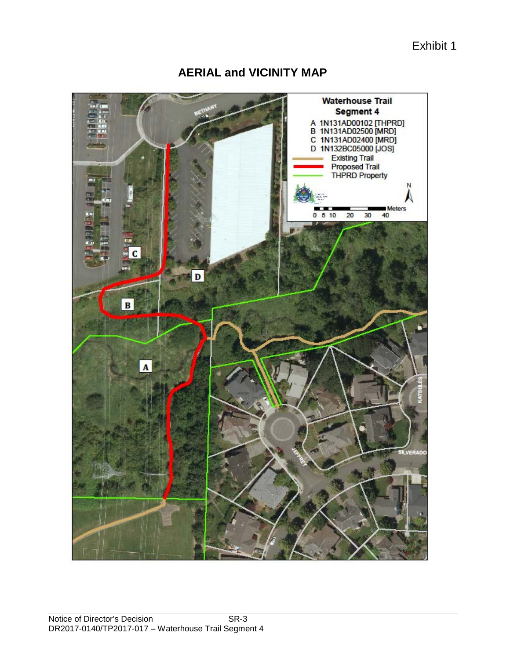Exhibit 1

# **AERIAL and VICINITY MAP**

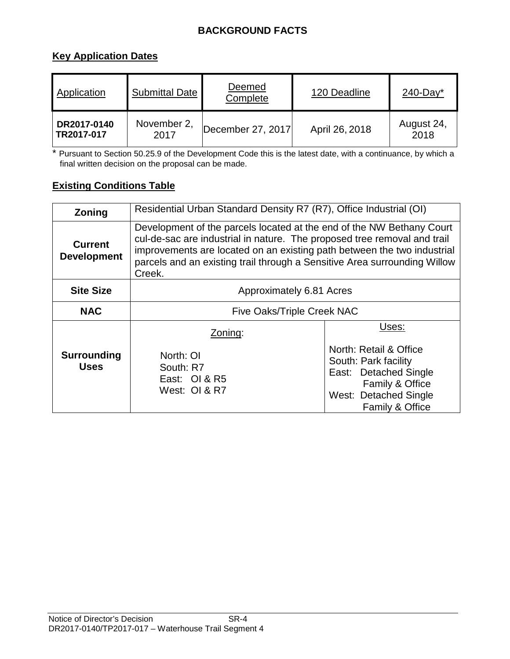# **BACKGROUND FACTS**

# **Key Application Dates**

| Application               | <b>Submittal Date</b> | Deemed<br>Complete | 120 Deadline   | $240$ -Day <sup>*</sup> |
|---------------------------|-----------------------|--------------------|----------------|-------------------------|
| DR2017-0140<br>TR2017-017 | November 2,<br>2017   | December 27, 2017  | April 26, 2018 | August 24,<br>2018      |

\* Pursuant to Section 50.25.9 of the Development Code this is the latest date, with a continuance, by which a final written decision on the proposal can be made.

# **Existing Conditions Table**

| Zoning                               | Residential Urban Standard Density R7 (R7), Office Industrial (OI)                                                                                                                                                                                                                                                  |  |  |
|--------------------------------------|---------------------------------------------------------------------------------------------------------------------------------------------------------------------------------------------------------------------------------------------------------------------------------------------------------------------|--|--|
| <b>Current</b><br><b>Development</b> | Development of the parcels located at the end of the NW Bethany Court<br>cul-de-sac are industrial in nature. The proposed tree removal and trail<br>improvements are located on an existing path between the two industrial<br>parcels and an existing trail through a Sensitive Area surrounding Willow<br>Creek. |  |  |
| <b>Site Size</b>                     | Approximately 6.81 Acres                                                                                                                                                                                                                                                                                            |  |  |
| <b>NAC</b>                           | Five Oaks/Triple Creek NAC                                                                                                                                                                                                                                                                                          |  |  |
|                                      | Uses:<br>Zoning:                                                                                                                                                                                                                                                                                                    |  |  |
| <b>Surrounding</b><br><b>Uses</b>    | North: Retail & Office<br>North: OI<br>South: Park facility<br>South: R7<br>East: Detached Single<br>East: $OI & R5$<br>Family & Office<br>West: OI & R7<br>West: Detached Single<br>Family & Office                                                                                                                |  |  |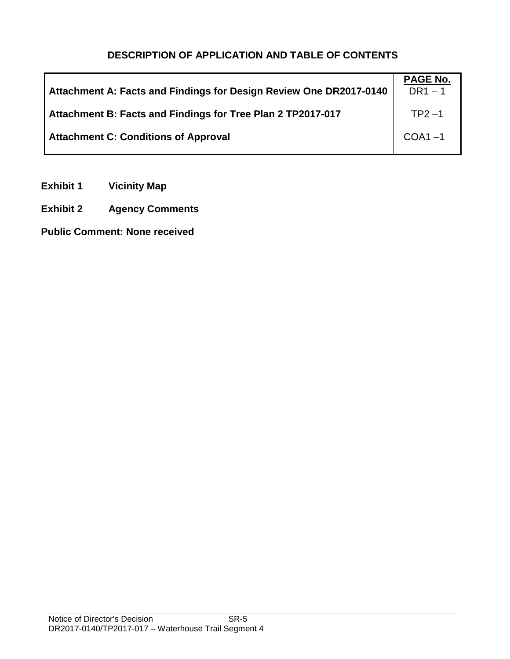# **DESCRIPTION OF APPLICATION AND TABLE OF CONTENTS**

| Attachment A: Facts and Findings for Design Review One DR2017-0140 | PAGE No.<br>$DR1 - 1$ |
|--------------------------------------------------------------------|-----------------------|
| Attachment B: Facts and Findings for Tree Plan 2 TP2017-017        | $TP2 - 1$             |
| <b>Attachment C: Conditions of Approval</b>                        | $COA1 - 1$            |

- **Exhibit 1 Vicinity Map**
- **Exhibit 2 Agency Comments**

**Public Comment: None received**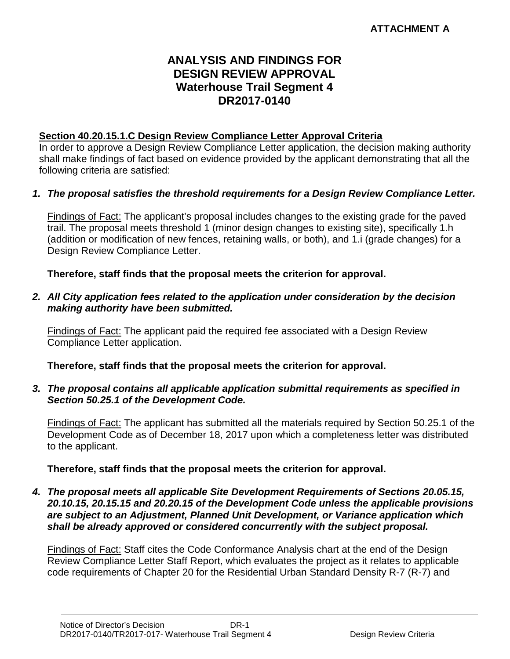# **ANALYSIS AND FINDINGS FOR DESIGN REVIEW APPROVAL Waterhouse Trail Segment 4 DR2017-0140**

# **Section 40.20.15.1.C Design Review Compliance Letter Approval Criteria**

In order to approve a Design Review Compliance Letter application, the decision making authority shall make findings of fact based on evidence provided by the applicant demonstrating that all the following criteria are satisfied:

# *1. The proposal satisfies the threshold requirements for a Design Review Compliance Letter.*

Findings of Fact: The applicant's proposal includes changes to the existing grade for the paved trail. The proposal meets threshold 1 (minor design changes to existing site), specifically 1.h (addition or modification of new fences, retaining walls, or both), and 1.i (grade changes) for a Design Review Compliance Letter.

#### **Therefore, staff finds that the proposal meets the criterion for approval.**

#### *2. All City application fees related to the application under consideration by the decision making authority have been submitted.*

Findings of Fact: The applicant paid the required fee associated with a Design Review Compliance Letter application.

**Therefore, staff finds that the proposal meets the criterion for approval.**

#### *3. The proposal contains all applicable application submittal requirements as specified in Section 50.25.1 of the Development Code.*

Findings of Fact: The applicant has submitted all the materials required by Section 50.25.1 of the Development Code as of December 18, 2017 upon which a completeness letter was distributed to the applicant.

#### **Therefore, staff finds that the proposal meets the criterion for approval.**

#### *4. The proposal meets all applicable Site Development Requirements of Sections 20.05.15, 20.10.15, 20.15.15 and 20.20.15 of the Development Code unless the applicable provisions are subject to an Adjustment, Planned Unit Development, or Variance application which shall be already approved or considered concurrently with the subject proposal.*

Findings of Fact: Staff cites the Code Conformance Analysis chart at the end of the Design Review Compliance Letter Staff Report, which evaluates the project as it relates to applicable code requirements of Chapter 20 for the Residential Urban Standard Density R-7 (R-7) and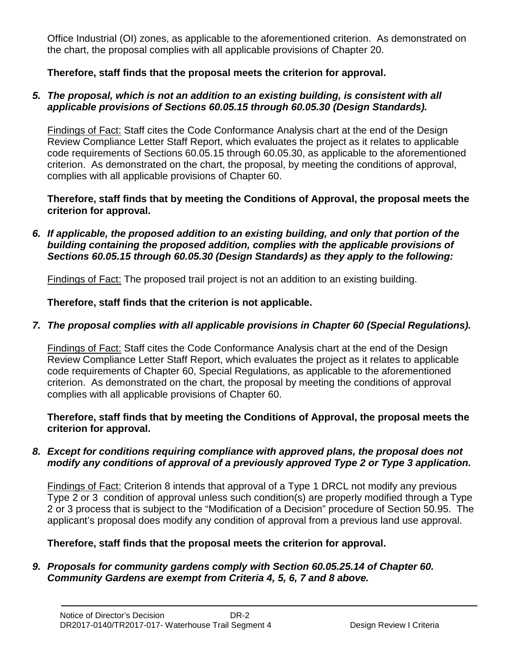Office Industrial (OI) zones, as applicable to the aforementioned criterion. As demonstrated on the chart, the proposal complies with all applicable provisions of Chapter 20.

#### **Therefore, staff finds that the proposal meets the criterion for approval.**

#### *5. The proposal, which is not an addition to an existing building, is consistent with all applicable provisions of Sections 60.05.15 through 60.05.30 (Design Standards).*

Findings of Fact: Staff cites the Code Conformance Analysis chart at the end of the Design Review Compliance Letter Staff Report, which evaluates the project as it relates to applicable code requirements of Sections 60.05.15 through 60.05.30, as applicable to the aforementioned criterion. As demonstrated on the chart, the proposal, by meeting the conditions of approval, complies with all applicable provisions of Chapter 60.

**Therefore, staff finds that by meeting the Conditions of Approval, the proposal meets the criterion for approval.**

*6. If applicable, the proposed addition to an existing building, and only that portion of the building containing the proposed addition, complies with the applicable provisions of Sections 60.05.15 through 60.05.30 (Design Standards) as they apply to the following:*

Findings of Fact: The proposed trail project is not an addition to an existing building.

**Therefore, staff finds that the criterion is not applicable.**

#### *7. The proposal complies with all applicable provisions in Chapter 60 (Special Regulations).*

Findings of Fact: Staff cites the Code Conformance Analysis chart at the end of the Design Review Compliance Letter Staff Report, which evaluates the project as it relates to applicable code requirements of Chapter 60, Special Regulations, as applicable to the aforementioned criterion. As demonstrated on the chart, the proposal by meeting the conditions of approval complies with all applicable provisions of Chapter 60.

**Therefore, staff finds that by meeting the Conditions of Approval, the proposal meets the criterion for approval.**

#### *8. Except for conditions requiring compliance with approved plans, the proposal does not modify any conditions of approval of a previously approved Type 2 or Type 3 application.*

Findings of Fact: Criterion 8 intends that approval of a Type 1 DRCL not modify any previous Type 2 or 3 condition of approval unless such condition(s) are properly modified through a Type 2 or 3 process that is subject to the "Modification of a Decision" procedure of Section 50.95. The applicant's proposal does modify any condition of approval from a previous land use approval.

#### **Therefore, staff finds that the proposal meets the criterion for approval.**

*9. Proposals for community gardens comply with Section 60.05.25.14 of Chapter 60. Community Gardens are exempt from Criteria 4, 5, 6, 7 and 8 above.*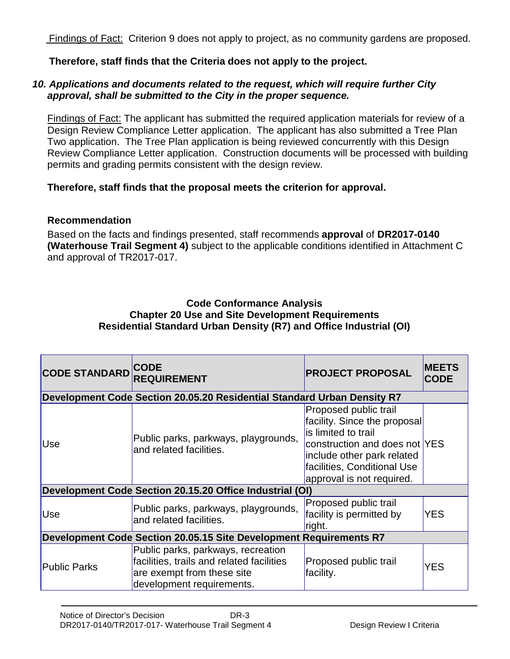Findings of Fact: Criterion 9 does not apply to project, as no community gardens are proposed.

**Therefore, staff finds that the Criteria does not apply to the project.** 

#### *10. Applications and documents related to the request, which will require further City approval, shall be submitted to the City in the proper sequence.*

Findings of Fact: The applicant has submitted the required application materials for review of a Design Review Compliance Letter application. The applicant has also submitted a Tree Plan Two application. The Tree Plan application is being reviewed concurrently with this Design Review Compliance Letter application. Construction documents will be processed with building permits and grading permits consistent with the design review.

# **Therefore, staff finds that the proposal meets the criterion for approval.**

#### **Recommendation**

Based on the facts and findings presented, staff recommends **approval** of **DR2017-0140 (Waterhouse Trail Segment 4)** subject to the applicable conditions identified in Attachment C and approval of TR2017-017.

#### **Code Conformance Analysis Chapter 20 Use and Site Development Requirements Residential Standard Urban Density (R7) and Office Industrial (OI)**

| <b>CODE STANDARD</b>                                               | <b>CODE</b><br><b>REQUIREMENT</b>                                                                                                          | <b>PROJECT PROPOSAL</b>                                                                                                                                                                                 | <b>MEETS</b><br><b>CODE</b> |
|--------------------------------------------------------------------|--------------------------------------------------------------------------------------------------------------------------------------------|---------------------------------------------------------------------------------------------------------------------------------------------------------------------------------------------------------|-----------------------------|
|                                                                    | Development Code Section 20.05.20 Residential Standard Urban Density R7                                                                    |                                                                                                                                                                                                         |                             |
| Use                                                                | Public parks, parkways, playgrounds,<br>and related facilities.                                                                            | Proposed public trail<br>facility. Since the proposal<br>is limited to trail<br>construction and does not YES<br>include other park related<br>facilities, Conditional Use<br>approval is not required. |                             |
|                                                                    | Development Code Section 20.15.20 Office Industrial (OI)                                                                                   |                                                                                                                                                                                                         |                             |
| <b>Use</b>                                                         | Public parks, parkways, playgrounds,<br>and related facilities.                                                                            | Proposed public trail<br>facility is permitted by<br>right.                                                                                                                                             | <b>YES</b>                  |
| Development Code Section 20.05.15 Site Development Requirements R7 |                                                                                                                                            |                                                                                                                                                                                                         |                             |
| <b>Public Parks</b>                                                | Public parks, parkways, recreation<br>facilities, trails and related facilities<br>are exempt from these site<br>development requirements. | Proposed public trail<br>facility.                                                                                                                                                                      | YES                         |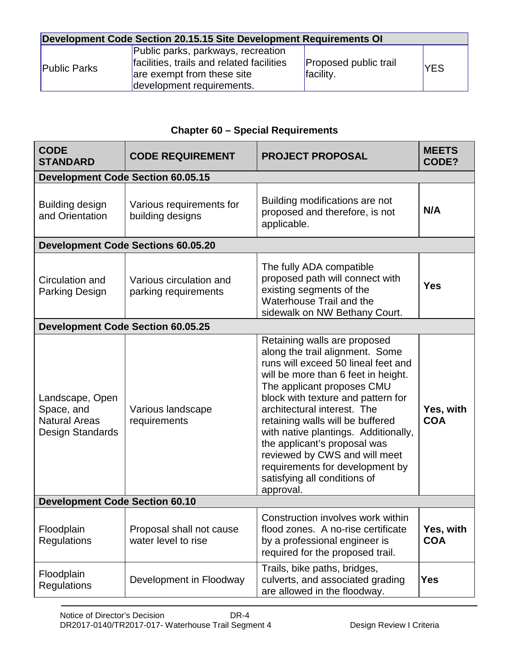| <b>Development Code Section 20.15.15 Site Development Requirements OI</b> |                                                                                                                                            |                                           |            |
|---------------------------------------------------------------------------|--------------------------------------------------------------------------------------------------------------------------------------------|-------------------------------------------|------------|
| <b>Public Parks</b>                                                       | Public parks, parkways, recreation<br>facilities, trails and related facilities<br>are exempt from these site<br>development requirements. | <b>Proposed public trail</b><br>facility. | <b>YES</b> |

# **Chapter 60 – Special Requirements**

| <b>CODE</b><br><b>STANDARD</b>                                            | <b>CODE REQUIREMENT</b>                         | <b>PROJECT PROPOSAL</b>                                                                                                                                                                                                                                                                                                                                                                                                                                                       | <b>MEETS</b><br>CODE?   |
|---------------------------------------------------------------------------|-------------------------------------------------|-------------------------------------------------------------------------------------------------------------------------------------------------------------------------------------------------------------------------------------------------------------------------------------------------------------------------------------------------------------------------------------------------------------------------------------------------------------------------------|-------------------------|
|                                                                           | <b>Development Code Section 60.05.15</b>        |                                                                                                                                                                                                                                                                                                                                                                                                                                                                               |                         |
| Building design<br>and Orientation                                        | Various requirements for<br>building designs    | Building modifications are not<br>proposed and therefore, is not<br>applicable.                                                                                                                                                                                                                                                                                                                                                                                               | N/A                     |
|                                                                           | <b>Development Code Sections 60.05.20</b>       |                                                                                                                                                                                                                                                                                                                                                                                                                                                                               |                         |
| Circulation and<br>Parking Design                                         | Various circulation and<br>parking requirements | The fully ADA compatible<br>proposed path will connect with<br>existing segments of the<br>Waterhouse Trail and the<br>sidewalk on NW Bethany Court.                                                                                                                                                                                                                                                                                                                          | <b>Yes</b>              |
|                                                                           | <b>Development Code Section 60.05.25</b>        |                                                                                                                                                                                                                                                                                                                                                                                                                                                                               |                         |
| Landscape, Open<br>Space, and<br><b>Natural Areas</b><br>Design Standards | Various landscape<br>requirements               | Retaining walls are proposed<br>along the trail alignment. Some<br>runs will exceed 50 lineal feet and<br>will be more than 6 feet in height.<br>The applicant proposes CMU<br>block with texture and pattern for<br>architectural interest. The<br>retaining walls will be buffered<br>with native plantings. Additionally,<br>the applicant's proposal was<br>reviewed by CWS and will meet<br>requirements for development by<br>satisfying all conditions of<br>approval. | Yes, with<br><b>COA</b> |
| <b>Development Code Section 60.10</b>                                     |                                                 |                                                                                                                                                                                                                                                                                                                                                                                                                                                                               |                         |
| Floodplain<br>Regulations                                                 | Proposal shall not cause<br>water level to rise | Construction involves work within<br>flood zones. A no-rise certificate<br>by a professional engineer is<br>required for the proposed trail.                                                                                                                                                                                                                                                                                                                                  | Yes, with<br><b>COA</b> |
| Floodplain<br>Regulations                                                 | Development in Floodway                         | Trails, bike paths, bridges,<br>culverts, and associated grading<br>are allowed in the floodway.                                                                                                                                                                                                                                                                                                                                                                              | <b>Yes</b>              |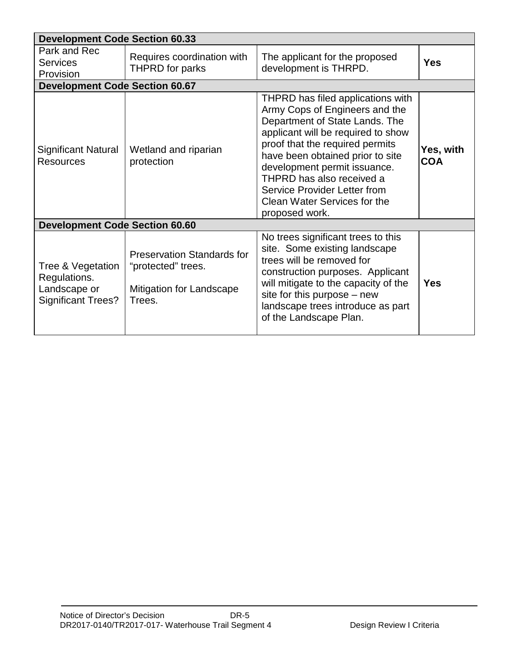|                                                                                | <b>Development Code Section 60.33</b>                                                         |                                                                                                                                                                                                                                                                                                                                                                   |                         |  |
|--------------------------------------------------------------------------------|-----------------------------------------------------------------------------------------------|-------------------------------------------------------------------------------------------------------------------------------------------------------------------------------------------------------------------------------------------------------------------------------------------------------------------------------------------------------------------|-------------------------|--|
| Park and Rec<br><b>Services</b><br>Provision                                   | Requires coordination with<br><b>THPRD</b> for parks                                          | The applicant for the proposed<br>development is THRPD.                                                                                                                                                                                                                                                                                                           | <b>Yes</b>              |  |
| <b>Development Code Section 60.67</b>                                          |                                                                                               |                                                                                                                                                                                                                                                                                                                                                                   |                         |  |
| Significant Natural<br><b>Resources</b>                                        | Wetland and riparian<br>protection                                                            | THPRD has filed applications with<br>Army Cops of Engineers and the<br>Department of State Lands. The<br>applicant will be required to show<br>proof that the required permits<br>have been obtained prior to site<br>development permit issuance.<br>THPRD has also received a<br>Service Provider Letter from<br>Clean Water Services for the<br>proposed work. | Yes, with<br><b>COA</b> |  |
| <b>Development Code Section 60.60</b>                                          |                                                                                               |                                                                                                                                                                                                                                                                                                                                                                   |                         |  |
| Tree & Vegetation<br>Regulations.<br>Landscape or<br><b>Significant Trees?</b> | <b>Preservation Standards for</b><br>"protected" trees.<br>Mitigation for Landscape<br>Trees. | No trees significant trees to this<br>site. Some existing landscape<br>trees will be removed for<br>construction purposes. Applicant<br>will mitigate to the capacity of the<br>site for this purpose – new<br>landscape trees introduce as part<br>of the Landscape Plan.                                                                                        | <b>Yes</b>              |  |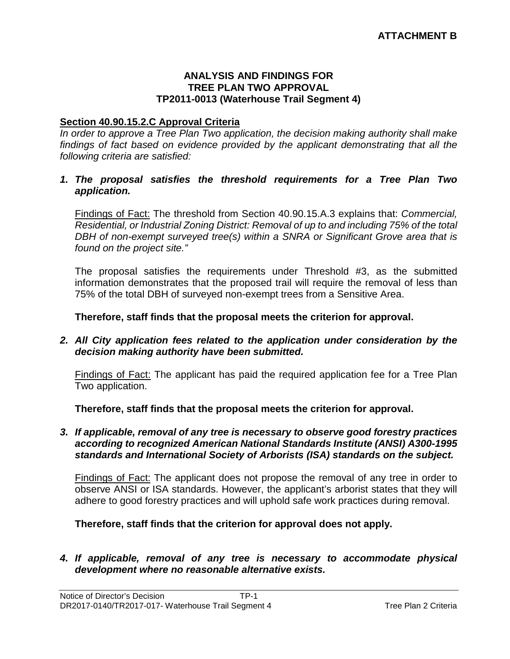#### **ANALYSIS AND FINDINGS FOR TREE PLAN TWO APPROVAL TP2011-0013 (Waterhouse Trail Segment 4)**

#### **Section 40.90.15.2.C Approval Criteria**

*In order to approve a Tree Plan Two application, the decision making authority shall make findings of fact based on evidence provided by the applicant demonstrating that all the following criteria are satisfied:*

#### *1. The proposal satisfies the threshold requirements for a Tree Plan Two application.*

Findings of Fact: The threshold from Section 40.90.15.A.3 explains that: *Commercial, Residential, or Industrial Zoning District: Removal of up to and including 75% of the total DBH of non-exempt surveyed tree(s) within a SNRA or Significant Grove area that is found on the project site."*

The proposal satisfies the requirements under Threshold #3, as the submitted information demonstrates that the proposed trail will require the removal of less than 75% of the total DBH of surveyed non-exempt trees from a Sensitive Area.

**Therefore, staff finds that the proposal meets the criterion for approval.**

*2. All City application fees related to the application under consideration by the decision making authority have been submitted.*

Findings of Fact: The applicant has paid the required application fee for a Tree Plan Two application.

**Therefore, staff finds that the proposal meets the criterion for approval.**

*3. If applicable, removal of any tree is necessary to observe good forestry practices according to recognized American National Standards Institute (ANSI) A300-1995 standards and International Society of Arborists (ISA) standards on the subject.*

Findings of Fact: The applicant does not propose the removal of any tree in order to observe ANSI or ISA standards. However, the applicant's arborist states that they will adhere to good forestry practices and will uphold safe work practices during removal.

**Therefore, staff finds that the criterion for approval does not apply.**

*4. If applicable, removal of any tree is necessary to accommodate physical development where no reasonable alternative exists.*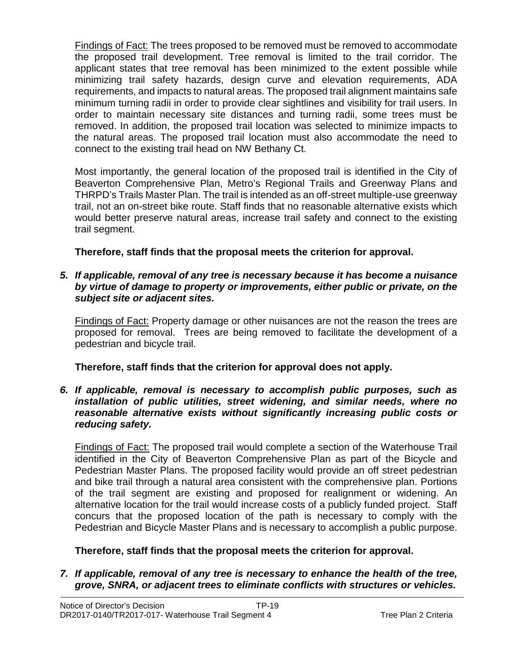Findings of Fact: The trees proposed to be removed must be removed to accommodate the proposed trail development. Tree removal is limited to the trail corridor. The applicant states that tree removal has been minimized to the extent possible while minimizing trail safety hazards, design curve and elevation requirements, ADA requirements, and impacts to natural areas. The proposed trail alignment maintains safe minimum turning radii in order to provide clear sightlines and visibility for trail users. In order to maintain necessary site distances and turning radii, some trees must be removed. In addition, the proposed trail location was selected to minimize impacts to the natural areas. The proposed trail location must also accommodate the need to connect to the existing trail head on NW Bethany Ct.

Most importantly, the general location of the proposed trail is identified in the City of Beaverton Comprehensive Plan, Metro's Regional Trails and Greenway Plans and THRPD's Trails Master Plan. The trail is intended as an off-street multiple-use greenway trail, not an on-street bike route. Staff finds that no reasonable alternative exists which would better preserve natural areas, increase trail safety and connect to the existing trail segment.

**Therefore, staff finds that the proposal meets the criterion for approval.**

*5. If applicable, removal of any tree is necessary because it has become a nuisance by virtue of damage to property or improvements, either public or private, on the subject site or adjacent sites.*

Findings of Fact: Property damage or other nuisances are not the reason the trees are proposed for removal. Trees are being removed to facilitate the development of a pedestrian and bicycle trail.

**Therefore, staff finds that the criterion for approval does not apply.** 

*6. If applicable, removal is necessary to accomplish public purposes, such as installation of public utilities, street widening, and similar needs, where no reasonable alternative exists without significantly increasing public costs or reducing safety.*

Findings of Fact: The proposed trail would complete a section of the Waterhouse Trail identified in the City of Beaverton Comprehensive Plan as part of the Bicycle and Pedestrian Master Plans. The proposed facility would provide an off street pedestrian and bike trail through a natural area consistent with the comprehensive plan. Portions of the trail segment are existing and proposed for realignment or widening. An alternative location for the trail would increase costs of a publicly funded project. Staff concurs that the proposed location of the path is necessary to comply with the Pedestrian and Bicycle Master Plans and is necessary to accomplish a public purpose.

# **Therefore, staff finds that the proposal meets the criterion for approval.**

*7. If applicable, removal of any tree is necessary to enhance the health of the tree, grove, SNRA, or adjacent trees to eliminate conflicts with structures or vehicles.*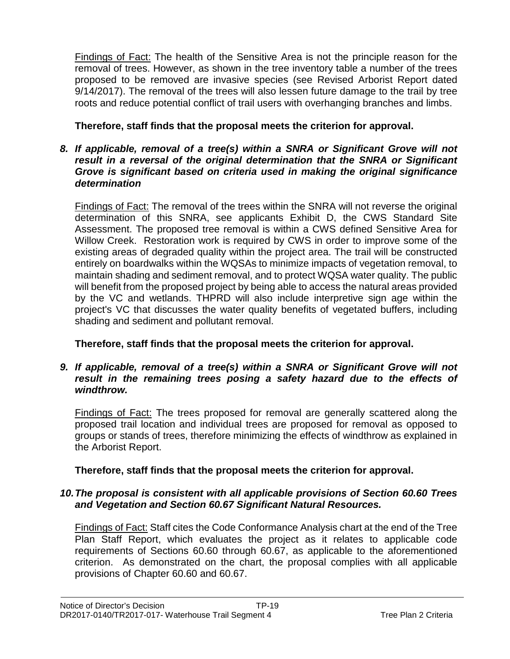Findings of Fact: The health of the Sensitive Area is not the principle reason for the removal of trees. However, as shown in the tree inventory table a number of the trees proposed to be removed are invasive species (see Revised Arborist Report dated 9/14/2017). The removal of the trees will also lessen future damage to the trail by tree roots and reduce potential conflict of trail users with overhanging branches and limbs.

# **Therefore, staff finds that the proposal meets the criterion for approval.**

#### *8. If applicable, removal of a tree(s) within a SNRA or Significant Grove will not result in a reversal of the original determination that the SNRA or Significant Grove is significant based on criteria used in making the original significance determination*

Findings of Fact: The removal of the trees within the SNRA will not reverse the original determination of this SNRA, see applicants Exhibit D, the CWS Standard Site Assessment. The proposed tree removal is within a CWS defined Sensitive Area for Willow Creek. Restoration work is required by CWS in order to improve some of the existing areas of degraded quality within the project area. The trail will be constructed entirely on boardwalks within the WQSAs to minimize impacts of vegetation removal, to maintain shading and sediment removal, and to protect WQSA water quality. The public will benefit from the proposed project by being able to access the natural areas provided by the VC and wetlands. THPRD will also include interpretive sign age within the project's VC that discusses the water quality benefits of vegetated buffers, including shading and sediment and pollutant removal.

# **Therefore, staff finds that the proposal meets the criterion for approval.**

#### *9. If applicable, removal of a tree(s) within a SNRA or Significant Grove will not*  result in the remaining trees posing a safety hazard due to the effects of *windthrow.*

Findings of Fact: The trees proposed for removal are generally scattered along the proposed trail location and individual trees are proposed for removal as opposed to groups or stands of trees, therefore minimizing the effects of windthrow as explained in the Arborist Report.

#### **Therefore, staff finds that the proposal meets the criterion for approval.**

#### *10.The proposal is consistent with all applicable provisions of Section 60.60 Trees and Vegetation and Section 60.67 Significant Natural Resources.*

Findings of Fact: Staff cites the Code Conformance Analysis chart at the end of the Tree Plan Staff Report, which evaluates the project as it relates to applicable code requirements of Sections 60.60 through 60.67, as applicable to the aforementioned criterion. As demonstrated on the chart, the proposal complies with all applicable provisions of Chapter 60.60 and 60.67.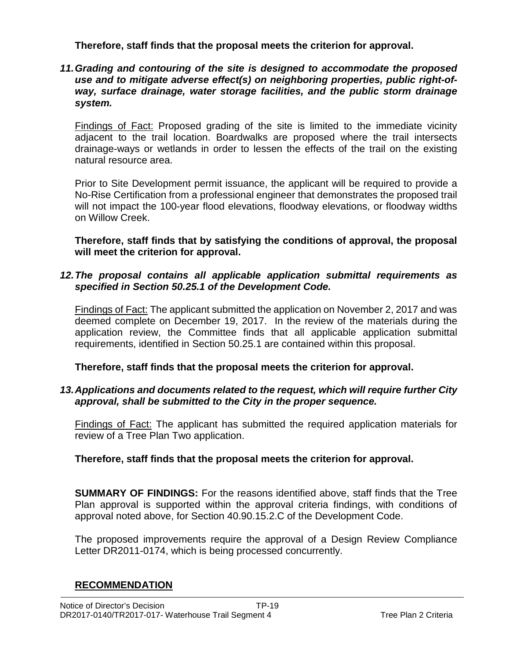**Therefore, staff finds that the proposal meets the criterion for approval.**

*11.Grading and contouring of the site is designed to accommodate the proposed use and to mitigate adverse effect(s) on neighboring properties, public right-ofway, surface drainage, water storage facilities, and the public storm drainage system.*

Findings of Fact: Proposed grading of the site is limited to the immediate vicinity adjacent to the trail location. Boardwalks are proposed where the trail intersects drainage-ways or wetlands in order to lessen the effects of the trail on the existing natural resource area.

Prior to Site Development permit issuance, the applicant will be required to provide a No-Rise Certification from a professional engineer that demonstrates the proposed trail will not impact the 100-year flood elevations, floodway elevations, or floodway widths on Willow Creek.

**Therefore, staff finds that by satisfying the conditions of approval, the proposal will meet the criterion for approval.**

#### *12.The proposal contains all applicable application submittal requirements as specified in Section 50.25.1 of the Development Code.*

Findings of Fact: The applicant submitted the application on November 2, 2017 and was deemed complete on December 19, 2017. In the review of the materials during the application review, the Committee finds that all applicable application submittal requirements, identified in Section 50.25.1 are contained within this proposal.

**Therefore, staff finds that the proposal meets the criterion for approval.**

# *13.Applications and documents related to the request, which will require further City approval, shall be submitted to the City in the proper sequence.*

Findings of Fact: The applicant has submitted the required application materials for review of a Tree Plan Two application.

# **Therefore, staff finds that the proposal meets the criterion for approval.**

**SUMMARY OF FINDINGS:** For the reasons identified above, staff finds that the Tree Plan approval is supported within the approval criteria findings, with conditions of approval noted above, for Section 40.90.15.2.C of the Development Code.

The proposed improvements require the approval of a Design Review Compliance Letter DR2011-0174, which is being processed concurrently.

# **RECOMMENDATION**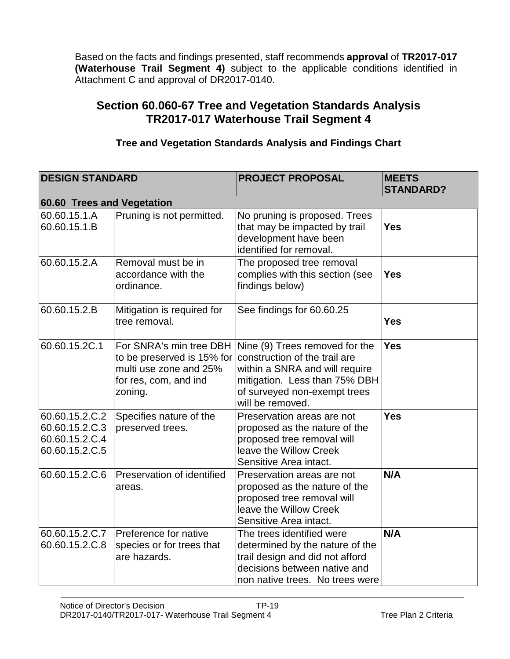Based on the facts and findings presented, staff recommends **approval** of **TR2017-017 (Waterhouse Trail Segment 4)** subject to the applicable conditions identified in Attachment C and approval of DR2017-0140.

# **Section 60.060-67 Tree and Vegetation Standards Analysis TR2017-017 Waterhouse Trail Segment 4**

# **Tree and Vegetation Standards Analysis and Findings Chart**

| <b>DESIGN STANDARD</b>                                               |                                                                                                                     | <b>PROJECT PROPOSAL</b>                                                                                                                                                                | <b>MEETS</b><br><b>STANDARD?</b> |
|----------------------------------------------------------------------|---------------------------------------------------------------------------------------------------------------------|----------------------------------------------------------------------------------------------------------------------------------------------------------------------------------------|----------------------------------|
| 60.60 Trees and Vegetation                                           |                                                                                                                     |                                                                                                                                                                                        |                                  |
| 60.60.15.1.A<br>60.60.15.1.B                                         | Pruning is not permitted.                                                                                           | No pruning is proposed. Trees<br>that may be impacted by trail<br>development have been<br>identified for removal.                                                                     | <b>Yes</b>                       |
| 60.60.15.2.A                                                         | Removal must be in<br>accordance with the<br>ordinance.                                                             | The proposed tree removal<br>complies with this section (see<br>findings below)                                                                                                        | <b>Yes</b>                       |
| 60.60.15.2.B                                                         | Mitigation is required for<br>tree removal.                                                                         | See findings for 60.60.25                                                                                                                                                              | <b>Yes</b>                       |
| 60.60.15.2C.1                                                        | For SNRA's min tree DBH<br>to be preserved is 15% for<br>multi use zone and 25%<br>for res, com, and ind<br>zoning. | Nine (9) Trees removed for the<br>construction of the trail are<br>within a SNRA and will require<br>mitigation. Less than 75% DBH<br>of surveyed non-exempt trees<br>will be removed. | <b>Yes</b>                       |
| 60.60.15.2.C.2<br>60.60.15.2.C.3<br>60.60.15.2.C.4<br>60.60.15.2.C.5 | Specifies nature of the<br>preserved trees.                                                                         | Preservation areas are not<br>proposed as the nature of the<br>proposed tree removal will<br>leave the Willow Creek<br>Sensitive Area intact.                                          | <b>Yes</b>                       |
| 60.60.15.2.C.6                                                       | Preservation of identified<br>areas.                                                                                | Preservation areas are not<br>proposed as the nature of the<br>proposed tree removal will<br>leave the Willow Creek<br>Sensitive Area intact.                                          | N/A                              |
| 60.60.15.2.C.7<br>60.60.15.2.C.8                                     | Preference for native<br>species or for trees that<br>are hazards.                                                  | The trees identified were<br>determined by the nature of the<br>trail design and did not afford<br>decisions between native and<br>non native trees. No trees were                     | N/A                              |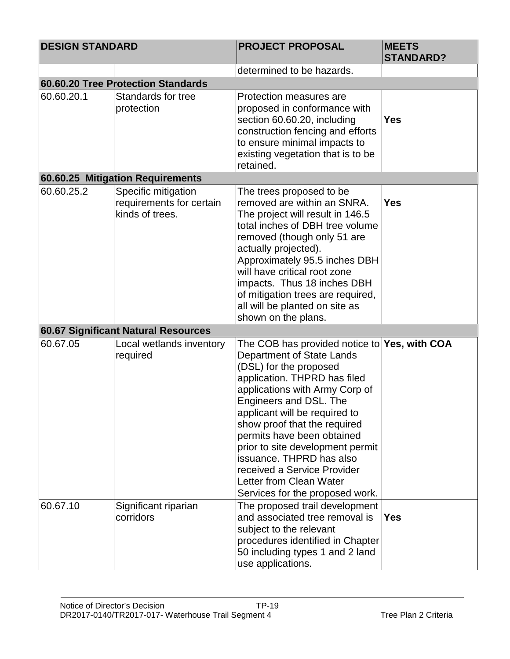| <b>DESIGN STANDARD</b> |                                                                    | <b>PROJECT PROPOSAL</b>                                                                                                                                                                                                                                                                                                                                                                                                                                       | <b>MEETS</b><br><b>STANDARD?</b> |
|------------------------|--------------------------------------------------------------------|---------------------------------------------------------------------------------------------------------------------------------------------------------------------------------------------------------------------------------------------------------------------------------------------------------------------------------------------------------------------------------------------------------------------------------------------------------------|----------------------------------|
|                        |                                                                    | determined to be hazards.                                                                                                                                                                                                                                                                                                                                                                                                                                     |                                  |
|                        | 60.60.20 Tree Protection Standards                                 |                                                                                                                                                                                                                                                                                                                                                                                                                                                               |                                  |
| 60.60.20.1             | Standards for tree<br>protection                                   | Protection measures are<br>proposed in conformance with<br>section 60.60.20, including<br>construction fencing and efforts<br>to ensure minimal impacts to<br>existing vegetation that is to be<br>retained.                                                                                                                                                                                                                                                  | <b>Yes</b>                       |
|                        | 60.60.25 Mitigation Requirements                                   |                                                                                                                                                                                                                                                                                                                                                                                                                                                               |                                  |
| 60.60.25.2             | Specific mitigation<br>requirements for certain<br>kinds of trees. | The trees proposed to be<br>removed are within an SNRA.<br>The project will result in 146.5<br>total inches of DBH tree volume<br>removed (though only 51 are<br>actually projected).<br>Approximately 95.5 inches DBH<br>will have critical root zone<br>impacts. Thus 18 inches DBH<br>of mitigation trees are required,<br>all will be planted on site as<br>shown on the plans.                                                                           | <b>Yes</b>                       |
|                        | 60.67 Significant Natural Resources                                |                                                                                                                                                                                                                                                                                                                                                                                                                                                               |                                  |
| 60.67.05               | Local wetlands inventory<br>required                               | The COB has provided notice to Yes, with $COA$<br>Department of State Lands<br>(DSL) for the proposed<br>application. THPRD has filed<br>applications with Army Corp of<br>Engineers and DSL. The<br>applicant will be required to<br>show proof that the required<br>permits have been obtained<br>prior to site development permit<br>issuance. THPRD has also<br>received a Service Provider<br>Letter from Clean Water<br>Services for the proposed work. |                                  |
| 60.67.10               | Significant riparian<br>corridors                                  | The proposed trail development<br>and associated tree removal is<br>subject to the relevant<br>procedures identified in Chapter<br>50 including types 1 and 2 land<br>use applications.                                                                                                                                                                                                                                                                       | <b>Yes</b>                       |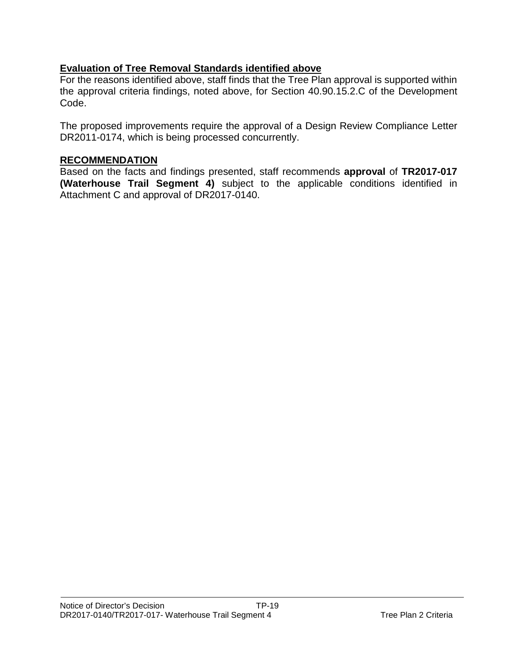# **Evaluation of Tree Removal Standards identified above**

For the reasons identified above, staff finds that the Tree Plan approval is supported within the approval criteria findings, noted above, for Section 40.90.15.2.C of the Development Code.

The proposed improvements require the approval of a Design Review Compliance Letter DR2011-0174, which is being processed concurrently.

#### **RECOMMENDATION**

Based on the facts and findings presented, staff recommends **approval** of **TR2017-017 (Waterhouse Trail Segment 4)** subject to the applicable conditions identified in Attachment C and approval of DR2017-0140.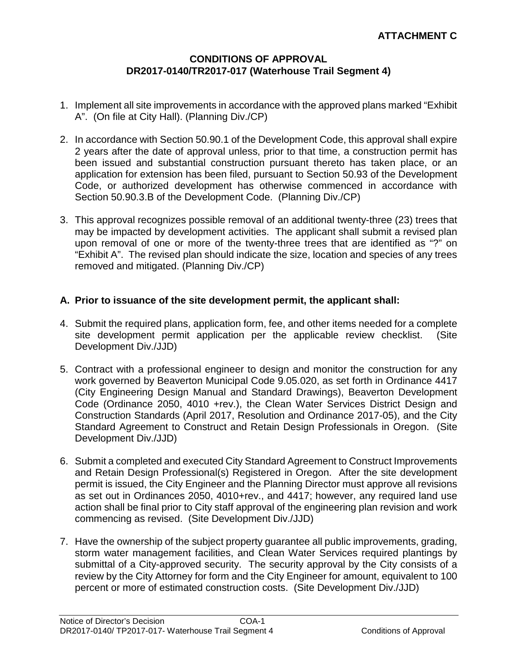#### **CONDITIONS OF APPROVAL DR2017-0140/TR2017-017 (Waterhouse Trail Segment 4)**

- 1. Implement all site improvements in accordance with the approved plans marked "Exhibit A". (On file at City Hall). (Planning Div./CP)
- 2. In accordance with Section 50.90.1 of the Development Code, this approval shall expire 2 years after the date of approval unless, prior to that time, a construction permit has been issued and substantial construction pursuant thereto has taken place, or an application for extension has been filed, pursuant to Section 50.93 of the Development Code, or authorized development has otherwise commenced in accordance with Section 50.90.3.B of the Development Code. (Planning Div./CP)
- 3. This approval recognizes possible removal of an additional twenty-three (23) trees that may be impacted by development activities. The applicant shall submit a revised plan upon removal of one or more of the twenty-three trees that are identified as "?" on "Exhibit A". The revised plan should indicate the size, location and species of any trees removed and mitigated. (Planning Div./CP)

# **A. Prior to issuance of the site development permit, the applicant shall:**

- 4. Submit the required plans, application form, fee, and other items needed for a complete site development permit application per the applicable review checklist. (Site Development Div./JJD)
- 5. Contract with a professional engineer to design and monitor the construction for any work governed by Beaverton Municipal Code 9.05.020, as set forth in Ordinance 4417 (City Engineering Design Manual and Standard Drawings), Beaverton Development Code (Ordinance 2050, 4010 +rev.), the Clean Water Services District Design and Construction Standards (April 2017, Resolution and Ordinance 2017-05), and the City Standard Agreement to Construct and Retain Design Professionals in Oregon. (Site Development Div./JJD)
- 6. Submit a completed and executed City Standard Agreement to Construct Improvements and Retain Design Professional(s) Registered in Oregon. After the site development permit is issued, the City Engineer and the Planning Director must approve all revisions as set out in Ordinances 2050, 4010+rev., and 4417; however, any required land use action shall be final prior to City staff approval of the engineering plan revision and work commencing as revised. (Site Development Div./JJD)
- 7. Have the ownership of the subject property guarantee all public improvements, grading, storm water management facilities, and Clean Water Services required plantings by submittal of a City-approved security. The security approval by the City consists of a review by the City Attorney for form and the City Engineer for amount, equivalent to 100 percent or more of estimated construction costs. (Site Development Div./JJD)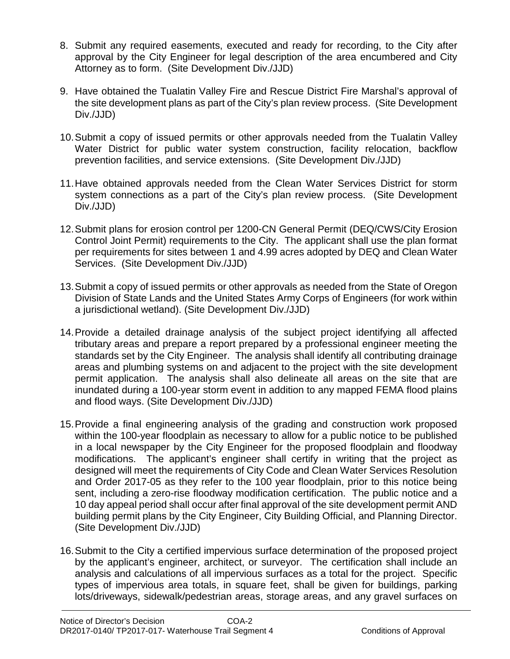- 8. Submit any required easements, executed and ready for recording, to the City after approval by the City Engineer for legal description of the area encumbered and City Attorney as to form. (Site Development Div./JJD)
- 9. Have obtained the Tualatin Valley Fire and Rescue District Fire Marshal's approval of the site development plans as part of the City's plan review process. (Site Development Div./JJD)
- 10.Submit a copy of issued permits or other approvals needed from the Tualatin Valley Water District for public water system construction, facility relocation, backflow prevention facilities, and service extensions. (Site Development Div./JJD)
- 11.Have obtained approvals needed from the Clean Water Services District for storm system connections as a part of the City's plan review process. (Site Development Div./JJD)
- 12.Submit plans for erosion control per 1200-CN General Permit (DEQ/CWS/City Erosion Control Joint Permit) requirements to the City. The applicant shall use the plan format per requirements for sites between 1 and 4.99 acres adopted by DEQ and Clean Water Services. (Site Development Div./JJD)
- 13.Submit a copy of issued permits or other approvals as needed from the State of Oregon Division of State Lands and the United States Army Corps of Engineers (for work within a jurisdictional wetland). (Site Development Div./JJD)
- 14.Provide a detailed drainage analysis of the subject project identifying all affected tributary areas and prepare a report prepared by a professional engineer meeting the standards set by the City Engineer. The analysis shall identify all contributing drainage areas and plumbing systems on and adjacent to the project with the site development permit application. The analysis shall also delineate all areas on the site that are inundated during a 100-year storm event in addition to any mapped FEMA flood plains and flood ways. (Site Development Div./JJD)
- 15.Provide a final engineering analysis of the grading and construction work proposed within the 100-year floodplain as necessary to allow for a public notice to be published in a local newspaper by the City Engineer for the proposed floodplain and floodway modifications. The applicant's engineer shall certify in writing that the project as designed will meet the requirements of City Code and Clean Water Services Resolution and Order 2017-05 as they refer to the 100 year floodplain, prior to this notice being sent, including a zero-rise floodway modification certification. The public notice and a 10 day appeal period shall occur after final approval of the site development permit AND building permit plans by the City Engineer, City Building Official, and Planning Director. (Site Development Div./JJD)
- 16.Submit to the City a certified impervious surface determination of the proposed project by the applicant's engineer, architect, or surveyor. The certification shall include an analysis and calculations of all impervious surfaces as a total for the project. Specific types of impervious area totals, in square feet, shall be given for buildings, parking lots/driveways, sidewalk/pedestrian areas, storage areas, and any gravel surfaces on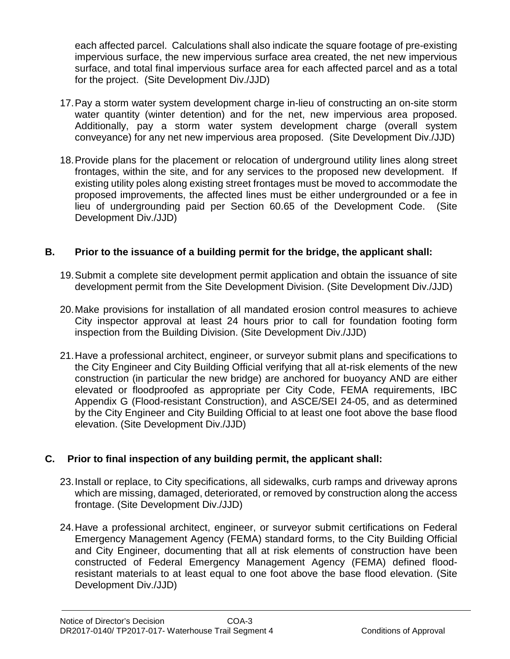each affected parcel. Calculations shall also indicate the square footage of pre-existing impervious surface, the new impervious surface area created, the net new impervious surface, and total final impervious surface area for each affected parcel and as a total for the project. (Site Development Div./JJD)

- 17.Pay a storm water system development charge in-lieu of constructing an on-site storm water quantity (winter detention) and for the net, new impervious area proposed. Additionally, pay a storm water system development charge (overall system conveyance) for any net new impervious area proposed. (Site Development Div./JJD)
- 18.Provide plans for the placement or relocation of underground utility lines along street frontages, within the site, and for any services to the proposed new development. If existing utility poles along existing street frontages must be moved to accommodate the proposed improvements, the affected lines must be either undergrounded or a fee in lieu of undergrounding paid per Section 60.65 of the Development Code. (Site Development Div./JJD)

#### **B. Prior to the issuance of a building permit for the bridge, the applicant shall:**

- 19.Submit a complete site development permit application and obtain the issuance of site development permit from the Site Development Division. (Site Development Div./JJD)
- 20.Make provisions for installation of all mandated erosion control measures to achieve City inspector approval at least 24 hours prior to call for foundation footing form inspection from the Building Division. (Site Development Div./JJD)
- 21.Have a professional architect, engineer, or surveyor submit plans and specifications to the City Engineer and City Building Official verifying that all at-risk elements of the new construction (in particular the new bridge) are anchored for buoyancy AND are either elevated or floodproofed as appropriate per City Code, FEMA requirements, IBC Appendix G (Flood-resistant Construction), and ASCE/SEI 24-05, and as determined by the City Engineer and City Building Official to at least one foot above the base flood elevation. (Site Development Div./JJD)

# **C. Prior to final inspection of any building permit, the applicant shall:**

- 23.Install or replace, to City specifications, all sidewalks, curb ramps and driveway aprons which are missing, damaged, deteriorated, or removed by construction along the access frontage. (Site Development Div./JJD)
- 24.Have a professional architect, engineer, or surveyor submit certifications on Federal Emergency Management Agency (FEMA) standard forms, to the City Building Official and City Engineer, documenting that all at risk elements of construction have been constructed of Federal Emergency Management Agency (FEMA) defined floodresistant materials to at least equal to one foot above the base flood elevation. (Site Development Div./JJD)